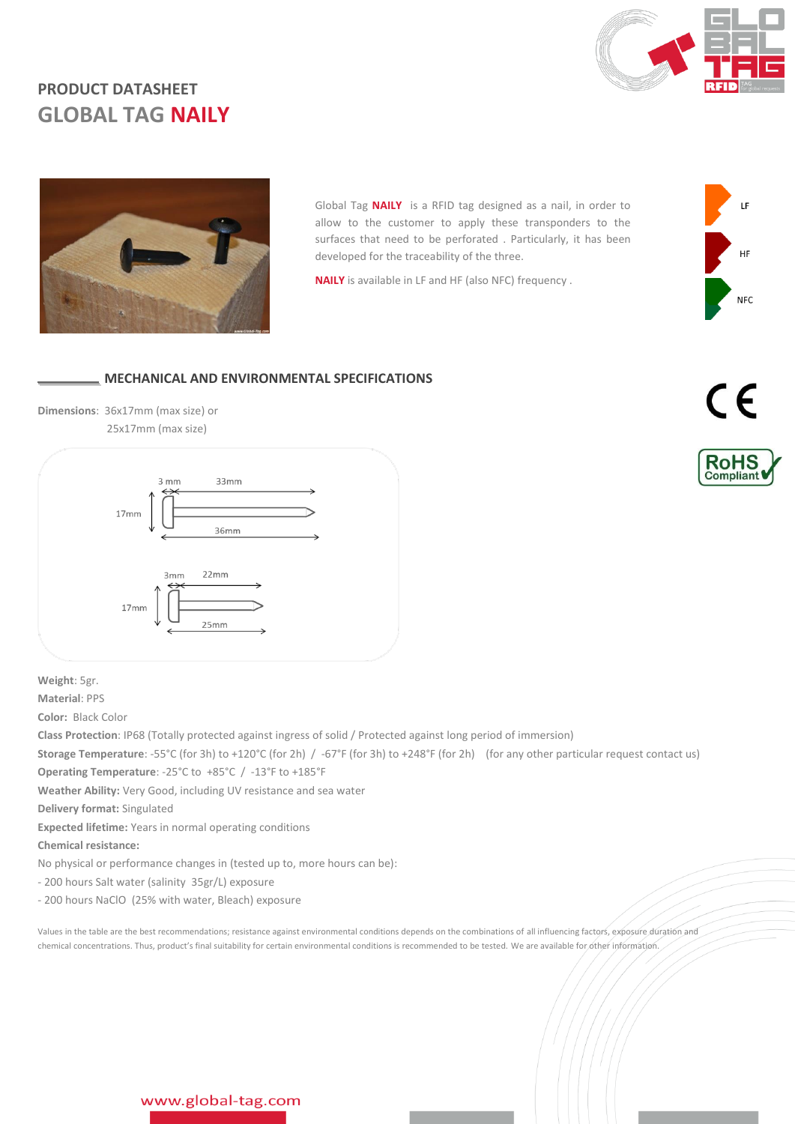

# **PRODUCT DATASHEET GLOBAL TAG NAILY**



Global Tag **NAILY** is a RFID tag designed as a nail, in order to allow to the customer to apply these transponders to the surfaces that need to be perforated . Particularly, it has been developed for the traceability of the three.

**NAILY** is available in LF and HF (also NFC) frequency .

### **MECHANICAL AND ENVIRONMENTAL SPECIFICATIONS**

**Dimensions**: 36x17mm (max size) or 25x17mm (max size)



**Weight**: 5gr.

**Material**: PPS

**Color:** Black Color

**Class Protection**: IP68 (Totally protected against ingress of solid / Protected against long period of immersion)

**Storage Temperature**: -55°C (for 3h) to +120°C (for 2h) / -67°F (for 3h) to +248°F (for 2h) (for any other particular request contact us) **Operating Temperature**: -25°C to +85°C / -13°F to +185°F

**Weather Ability:** Very Good, including UV resistance and sea water

**Delivery format:** Singulated

**Expected lifetime:** Years in normal operating conditions

**Chemical resistance:**

No physical or performance changes in (tested up to, more hours can be):

- 200 hours Salt water (salinity 35gr/L) exposure

- 200 hours NaClO (25% with water, Bleach) exposure

Values in the table are the best recommendations; resistance against environmental conditions depends on the combinations of all influencing factors, exposure duration and chemical concentrations. Thus, product's final suitability for certain environmental conditions is recommended to be tested. We are available for other information.



**NFC**